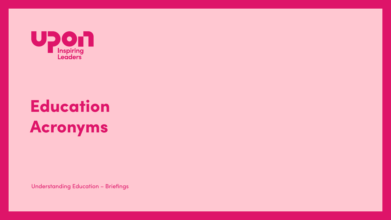

## Education Acronyms

**Understanding Education - Briefings**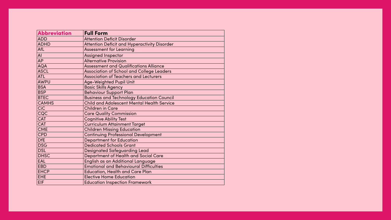| <b>Abbreviation</b> | <b>Full Form</b>                                    |
|---------------------|-----------------------------------------------------|
| <b>ADD</b>          | <b>Attention Deficit Disorder</b>                   |
| <b>ADHD</b>         | <b>Attention Deficit and Hyperactivity Disorder</b> |
| <b>AfL</b>          | <b>Assessment for Learning</b>                      |
| AI                  | <b>Assigned Inspector</b>                           |
| <b>AP</b>           | <b>Alternative Provision</b>                        |
| <b>AQA</b>          | <b>Assessment and Qualifications Alliance</b>       |
| <b>ASCL</b>         | <b>Association of School and College Leaders</b>    |
| <b>ATL</b>          | <b>Association of Teachers and Lecturers</b>        |
| <b>AWPU</b>         | <b>Age-Weighted Pupil Unit</b>                      |
| <b>BSA</b>          | <b>Basic Skills Agency</b>                          |
| <b>BSP</b>          | <b>Behaviour Support Plan</b>                       |
| <b>BTEC</b>         | <b>Business and Technology Education Council</b>    |
| <b>CAMHS</b>        | <b>Child and Adolescent Mental Health Service</b>   |
| <b>CiC</b>          | <b>Children in Care</b>                             |
| CQC                 | <b>Care Quality Commission</b>                      |
| <b>CAT</b>          | <b>Cognitive Ability Test</b>                       |
| <b>CAT</b>          | <b>Curriculum Attainment Target</b>                 |
| <b>CME</b>          | <b>Children Missing Education</b>                   |
| <b>CPD</b>          | <b>Continuing Professional Development</b>          |
| <b>DfE</b>          | <b>Department for Education</b>                     |
| <b>DSG</b>          | <b>Dedicated Schools Grant</b>                      |
| <b>DSL</b>          | <b>Designated Safeguarding Lead</b>                 |
| <b>DHSC</b>         | <b>Department of Health and Social Care</b>         |
| <b>EAL</b>          | English as an Additional Language                   |
| <b>EBD</b>          | <b>Emotional and Behavioural Difficulties</b>       |
| <b>EHCP</b>         | <b>Education, Health and Care Plan</b>              |
| <b>EHE</b>          | <b>Elective Home Education</b>                      |
| <b>EIF</b>          | <b>Education Inspection Framework</b>               |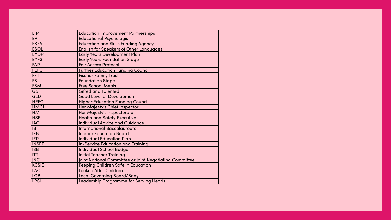| <b>EIP</b>   | <b>Education Improvement Partnerships</b>               |
|--------------|---------------------------------------------------------|
| <b>EP</b>    | <b>Educational Psychologist</b>                         |
| <b>ESFA</b>  | <b>Education and Skills Funding Agency</b>              |
| <b>ESOL</b>  | <b>English for Speakers of Other Languages</b>          |
| <b>EYDP</b>  | <b>Early Years Development Plan</b>                     |
| <b>EYFS</b>  | <b>Early Years Foundation Stage</b>                     |
| <b>FAP</b>   | <b>Fair Access Protocol</b>                             |
| <b>FEFC</b>  | <b>Further Education Funding Council</b>                |
| <b>FFT</b>   | <b>Fischer Family Trust</b>                             |
| <b>FS</b>    | <b>Foundation Stage</b>                                 |
| <b>FSM</b>   | <b>Free School Meals</b>                                |
| GaT          | <b>Gifted and Talented</b>                              |
| <b>GLD</b>   | <b>Good Level of Development</b>                        |
| <b>HEFC</b>  | <b>Higher Education Funding Council</b>                 |
| <b>HMCI</b>  | Her Majesty's Chief Inspector                           |
| <b>HMI</b>   | Her Majesty's Inspectorate                              |
| <b>HSE</b>   | <b>Health and Safety Executive</b>                      |
| <b>IAG</b>   | <b>Individual Advice and Guidance</b>                   |
| IB           | <b>International Baccalaureate</b>                      |
| <b>IEB</b>   | <b>Interim Education Board</b>                          |
| <b>IEP</b>   | <b>Individual Education Plan</b>                        |
| <b>INSET</b> | <b>In-Service Education and Training</b>                |
| <b>ISB</b>   | <b>Individual School Budget</b>                         |
| <b>ITT</b>   | <b>Initial Teacher Training</b>                         |
| <b>JNC</b>   | Joint National Committee or Joint Negotiating Committee |
| <b>KCSIE</b> | <b>Keeping Children Safe in Education</b>               |
| <b>LAC</b>   | <b>Looked After Children</b>                            |
| <b>LGB</b>   | <b>Local Governing Board/Body</b>                       |
| <b>LPSH</b>  | <b>Leadership Programme for Serving Heads</b>           |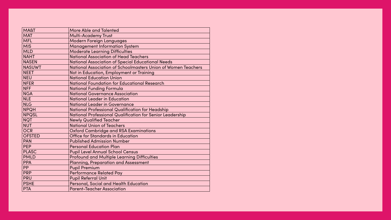| <b>MA&amp;T</b> | <b>More Able and Talented</b>                                   |
|-----------------|-----------------------------------------------------------------|
| <b>MAT</b>      | <b>Multi-Academy Trust</b>                                      |
| <b>MFL</b>      | <b>Modern Foreign Languages</b>                                 |
| <b>MIS</b>      | <b>Management Information System</b>                            |
| <b>MLD</b>      | <b>Moderate Learning Difficulties</b>                           |
| <b>NAHT</b>     | <b>National Association of Head Teachers</b>                    |
| <b>NASEN</b>    | <b>National Association of Special Educational Needs</b>        |
| <b>NASUWT</b>   | <b>National Association of Schoolmasters Union of Women</b>     |
| <b>NEET</b>     | Not in Education, Employment or Training                        |
| <b>NEU</b>      | <b>National Education Union</b>                                 |
| <b>NFER</b>     | <b>National Foundation for Educational Research</b>             |
| <b>NFF</b>      | <b>National Funding Formula</b>                                 |
| <b>NGA</b>      | <b>National Governance Association</b>                          |
| <b>NLE</b>      | <b>National Leader in Education</b>                             |
| <b>NLG</b>      | <b>National Leader in Governance</b>                            |
| <b>NPQH</b>     | <b>National Professional Qualification for Headship</b>         |
| <b>NPQSL</b>    | <b>National Professional Qualification for Senior Leadershi</b> |
| <b>NQT</b>      | <b>Newly Qualified Teacher</b>                                  |
| <b>NUT</b>      | <b>National Union of Teachers</b>                               |
| <b>OCR</b>      | <b>Oxford Cambridge and RSA Examinations</b>                    |
| <b>OFSTED</b>   | <b>Office for Standards in Education</b>                        |
| <b>PAN</b>      | <b>Published Admission Number</b>                               |
| <b>PEP</b>      | <b>Personal Education Plan</b>                                  |
| <b>PLASC</b>    | <b>Pupil Level Annual School Census</b>                         |
| <b>PMLD</b>     | <b>Profound and Multiple Learning Difficulties</b>              |
| <b>PPA</b>      | <b>Planning, Preparation and Assessment</b>                     |
| <b>PP</b>       | <b>Pupil Premium</b>                                            |
| <b>PRP</b>      | <b>Performance Related Pay</b>                                  |
| <b>PRU</b>      | <b>Pupil Referral Unit</b>                                      |
| <b>PSHE</b>     | <b>Personal, Social and Health Education</b>                    |
| <b>PTA</b>      | <b>Parent-Teacher Association</b>                               |
|                 |                                                                 |

# Teachers ip